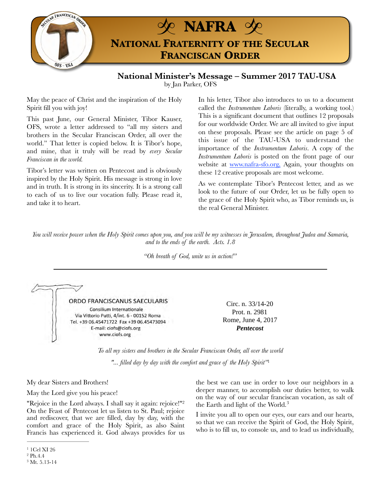

**National Minister's Message – Summer 2017 TAU-USA**  by Jan Parker, OFS

May the peace of Christ and the inspiration of the Holy Spirit fill you with joy!

This past June, our General Minister, Tibor Kauser, OFS, wrote a letter addressed to "all my sisters and brothers in the Secular Franciscan Order, all over the world." That letter is copied below. It is Tibor's hope, and mine, that it truly will be read by *every Secular Franciscan in the world.* 

Tibor's letter was written on Pentecost and is obviously inspired by the Holy Spirit. His message is strong in love and in truth. It is strong in its sincerity. It is a strong call to each of us to live our vocation fully. Please read it, and take it to heart.

In his letter, Tibor also introduces to us to a document called the *Instrumentum Laboris* (literally, a working tool.) This is a significant document that outlines 12 proposals for our worldwide Order. We are all invited to give input on these proposals. Please see the article on page 5 of this issue of the TAU-USA to understand the importance of the *Instrumentum Laboris*. A copy of the *Instrumentum Laboris* is posted on the front page of our website at [www.nafra-sfo.org,](http://www.nafra-sfo.org) Again, your thoughts on these 12 creative proposals are most welcome.

As we contemplate Tibor's Pentecost letter, and as we look to the future of our Order, let us be fully open to the grace of the Holy Spirit who, as Tibor reminds us, is the real General Minister.

*You will receive power when the Holy Spirit comes upon you, and you will be my witnesses in Jerusalem, throughout Judea and Samaria, and to the ends of the earth. Acts. 1.8* 

*"Oh breath of God, unite us in action!"* 

ORDO FRANCISCANUS SAECULARIS Consilium Internationale Via Vittorio Putti, 4/int. 6 - 00152 Roma Tel. +39 06.45471722 Fax +39 06.45473094 E-mail: ciofs@ciofs.org www.ciofs.org

<span id="page-0-3"></span>Circ. n. 33/14-20 Prot. n. 2981 Rome, June 4, 2017 *Pentecost* 

*To all my sisters and brothers in the Secular Franciscan Order, all over the world* 

*"... filled day by day with the comfort and grace of the Holy Spirit"*[1](#page-0-0)

My dear Sisters and Brothers!

May the Lord give you his peace!

"Rejoice in the Lord always. I shall say it again: rejoice!"<sup>2</sup> On the Feast of Pentecost let us listen to St. Paul; rejoice and rediscover, that we are filled, day by day, with the comfort and grace of the Holy Spirit, as also Saint Francis has experienced it. God always provides for us the best we can use in order to love our neighbors in a deeper manner, to accomplish our duties better, to walk on the way of our secular franciscan vocation, as salt of the Earth and light of the World. [3](#page-0-2)

<span id="page-0-5"></span><span id="page-0-4"></span>I invite you all to open our eyes, our ears and our hearts, so that we can receive the Spirit of God, the Holy Spirit, who is to fill us, to console us, and to lead us individually,

<span id="page-0-0"></span> $1$  1Cel XI 26

<span id="page-0-1"></span> $^{2}$  $^{2}$  $^{2}$  Ph.4.4

<span id="page-0-2"></span> $3$  Mt. 5.13-14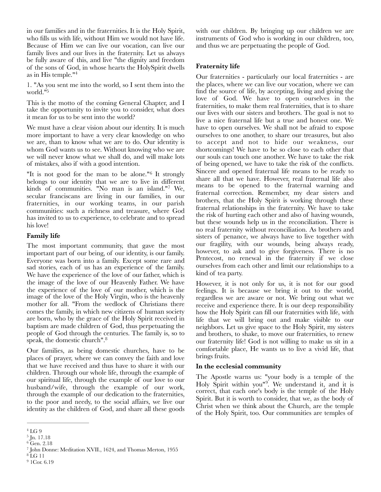in our families and in the fraternities. It is the Holy Spirit, who fills us with life, without Him we would not have life. Because of Him we can live our vocation, can live our family lives and our lives in the fraternity. Let us always be fully aware of this, and live "the dignity and freedom of the sons of God, in whose hearts the HolySpirit dwells as in His temple." [4](#page-1-0)

<span id="page-1-7"></span><span id="page-1-6"></span>1. "As you sent me into the world, so I sent them into the world."<sup>5</sup>

This is the motto of the coming General Chapter, and I take the opportunity to invite you to consider, what does it mean for us to be sent into the world?

We must have a clear vision about our identity. It is much more important to have a very clear knowledge on who we are, than to know what we are to do. Our identity is whom God wants us to see. Without knowing who we are we will never know what we shall do, and will make lots of mistakes, also if with a good intention.

"It is not good for the man to be alone." $6$  It strongly belongs to our identity that we are to live in different kindsof communities. "No man is an island." $7$  We, secular franciscans are living in our families, in our fraternities, in our working teams, in our parish communities: such a richness and treasure, where God has invited to us to experience, to celebrate and to spread his love!

### **Family life**

The most important community, that gave the most important part of our being, of our identity, is our family. Everyone was born into a family. Except some rare and sad stories, each of us has an experience of the family. We have the experience of the love of our father, which is the image of the love of our Heavenly Father. We have the experience of the love of our mother, which is the image of the love of the Holy Virgin, who is the heavenly mother for all. "From the wedlock of Christians there comes the family, in which new citizens of human society are born, who by the grace of the Holy Spirit received in baptism are made children of God, thus perpetuating the people of God through the centuries. The family is, so to speak, the domestic church"[. 8](#page-1-4)

<span id="page-1-10"></span>Our families, as being domestic churches, have to be places of prayer, where we can convey the faith and love that we have received and thus have to share it with our children. Through our whole life, through the example of our spiritual life, through the example of our love to our husband/wife, through the example of our work, through the example of our dedication to the fraternities, to the poor and needy, to the social affairs, we live our identity as the children of God, and share all these goods

<span id="page-1-5"></span> $9$  1Cor. 6.19

with our children. By bringing up our children we are instruments of God who is working in our children, too, and thus we are perpetuating the people of God.

# **Fraternity life**

<span id="page-1-8"></span>Our fraternities - particularly our local fraternities - are the places, where we can live our vocation, where we can find the source of life, by accepting, living and giving the love of God. We have to open ourselves in the fraternities, to make them real fraternities, that is to share our lives with our sisters and brothers. The goal is not to live a nice fraternal life but a true and honest one. We have to open ourselves. We shall not be afraid to expose ourselves to one another, to share our treasures, but also to accept and not to hide our weakness, our shortcomings! We have to be so close to each other that our souls can touch one another. We have to take the risk of being opened, we have to take the risk of the conflicts. Sincere and opened fraternal life means to be ready to share all that we have. However, real fraternal life also means to be opened to the fraternal warning and fraternal correction. Remember, my dear sisters and brothers, that the Holy Spirit is working through these fraternal relationships in the fraternity. We have to take the risk of hurting each other and also of having wounds, but these wounds help us in the reconciliation. There is no real fraternity without reconciliation. As brothers and sisters of penance, we always have to live together with our fragility, with our wounds, being always ready, however, to ask and to give forgiveness. There is no Pentecost, no renewal in the fraternity if we close ourselves from each other and limit our relationships to a kind of tea party.

<span id="page-1-9"></span>However, it is not only for us, it is not for our good feelings. It is because we bring it out to the world, regardless we are aware or not. We bring out what we receive and experience there. It is our deep responsibility how the Holy Spirit can fill our fraternities with life, with life that we will bring out and make visible to our neighbors. Let us give space to the Holy Spirit, my sisters and brothers, to shake, to move our fraternities, to renew our fraternity life! God is not willing to make us sit in a comfortable place, He wants us to live a vivid life, that brings fruits.

#### **In the ecclesial community**

<span id="page-1-11"></span>The Apostle warns us: "your body is a temple of the Holy Spirit within you<sup>n[9](#page-1-5)</sup>. We understand it, and it is correct, that each one's body is the temple of the Holy Spirit. But it is worth to consider, that we, as the body of Christ when we think about the Church, are the temple of the Holy Spirit, too. Our communities are temples of

<span id="page-1-0"></span> $^4$  $^4$  LG  $9\,$ 

<span id="page-1-1"></span> $5 \text{Jn. } 17.18$  $5 \text{Jn. } 17.18$ 

<span id="page-1-2"></span> $6$  Gen. 2.18

<span id="page-1-3"></span> $^7$  $^7$  John Donne: Meditation XVII., 1624, and Thomas Merton, 1955

<span id="page-1-4"></span> $8$ LG 11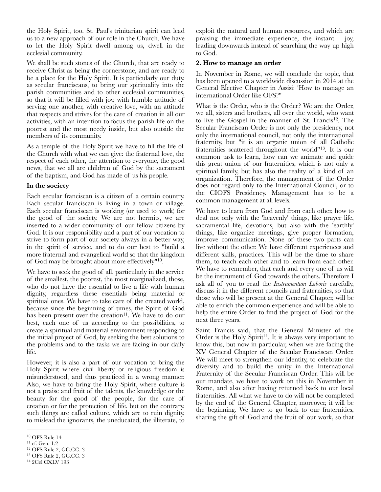the Holy Spirit, too. St. Paul's trinitarian spirit can lead us to a new approach of our role in the Church. We have to let the Holy Spirit dwell among us, dwell in the ecclesial community.

We shall be such stones of the Church, that are ready to receive Christ as being the cornerstone, and are ready to be a place for the Holy Spirit. It is particularly our duty, as secular franciscans, to bring our spirituality into the parish communities and to other ecclesial communities, so that it will be filled with joy, with humble attitude of serving one another, with creative love, with an attitude that respects and strives for the care of creation in all our activities, with an intention to focus the parish life on the poorest and the most needy inside, but also outside the members of its community.

As a temple of the Holy Spirit we have to fill the life of the Church with what we can give: the fraternal love, the respect of each other, the attention to everyone, the good news, that we all are children of God by the sacrament of the baptism, and God has made of us his people.

#### **In the society**

Each secular franciscan is a citizen of a certain country. Each secular franciscan is living in a town or village. Each secular franciscan is working (or used to work) for the good of the society. We are not hermits, we are inserted to a wider community of our fellow citizens by God. It is our responsibility and a part of our vocation to strive to form part of our society always in a better way, in the spirit of service, and to do our best to "build a more fraternal and evangelical world so that the kingdom of God may be brought about more effectively" $10$ .

We have to seek the good of all, particularly in the service of the smallest, the poorest, the most marginalized, those, who do not have the essential to live a life with human dignity, regardless these essentials being material or spiritual ones. We have to take care of the created world, because since the beginning of times, the Spirit of God has been present over the creation<sup>[11](#page-2-1)</sup>. We have to do our best, each one of us according to the possibilities, to create a spiritual and material environment responding to the initial project of God, by seeking the best solutions to the problems and to the tasks we are facing in our daily life.

However, it is also a part of our vocation to bring the Holy Spirit where civil liberty or religious freedom is misunderstood, and thus practiced in a wrong manner. Also, we have to bring the Holy Spirit, where culture is not a praise and fruit of the talents, the knowledge or the beauty for the good of the people, for the care of creation or for the protection of life, but on the contrary, such things are called culture, which are to ruin dignity, to mislead the ignorants, the uneducated, the illiterate, to

<span id="page-2-4"></span> $14$  2Cel CXLV 193

exploit the natural and human resources, and which are praising the immediate experience, the instant joy, leading downwards instead of searching the way up high to God.

#### **2. How to manage an order**

In November in Rome, we will conclude the topic, that has been opened to a worldwide discussion in 2014 at the General Elective Chapter in Assisi: 'How to manage an international Order like OFS?"

<span id="page-2-8"></span><span id="page-2-7"></span>What is the Order, who is the Order? We are the Order, we all, sisters and brothers, all over the world, who want to live the Gospel in the manner of St. Francis<sup>[12](#page-2-2)</sup>. The Secular Franciscan Order is not only the presidency, not only the international council, not only the international fraternity, but "it is an organic union of all Catholic fraternities scattered throughout the world" $13$ . It is our common task to learn, how can we animate and guide this great union of our fraternities, which is not only a spiritual family, but has also the reality of a kind of an organization. Therefore, the management of the Order does not regard only to the International Council, or to the CIOFS Presidency. Management has to be a common management at all levels.

<span id="page-2-5"></span>We have to learn from God and from each other, how to deal not only with the 'heavenly' things, like prayer life, sacramental life, devotions, but also with the 'earthly' things, like organize meetings, give proper formation, improve communication. None of these two parts can live without the other. We have different experiences and different skills, practices. This will be the time to share them, to teach each other and to learn from each other. We have to remember, that each and every one of us will be the instrument of God towards the others. Therefore I ask all of you to read the *Instrumentum Laboris* carefully, discuss it in the different councils and fraternities, so that those who will be present at the General Chapter, will be able to enrich the common experience and will be able to help the entire Order to find the project of God for the next three years.

<span id="page-2-9"></span><span id="page-2-6"></span>Saint Francis said, that the General Minister of the Order is the Holy Spirit<sup>[14](#page-2-4)</sup>. It is always very important to know this, but now in particular, when we are facing the XV General Chapter of the Secular Franciscan Order. We will meet to strengthen our identity, to celebrate the diversity and to build the unity in the International Fraternity of the Secular Franciscan Order. This will be our mandate, we have to work on this in November in Rome, and also after having returned back to our local fraternities. All what we have to do will not be completed by the end of the General Chapter, moreover, it will be the beginning. We have to go back to our fraternities, sharing the gift of God and the fruit of our work, so that

<span id="page-2-0"></span> $^{10}$  $^{10}$  $^{10}$  OFS Rule  $14$ 

<span id="page-2-1"></span> $^{11}$  $^{11}$  $^{11}$  cf. Gen.  $1.2\,$ 

<span id="page-2-2"></span> $12$  OFS Rule 2, GG.CC. 3

<span id="page-2-3"></span><sup>&</sup>lt;sup>[13](#page-2-8)</sup> OFS Rule 2, GG.CC. 3